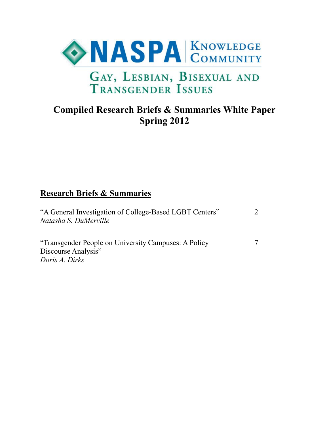

# **Compiled Research Briefs & Summaries White Paper Spring 2012**

# **Research Briefs & Summaries**

| "A General Investigation of College-Based LGBT Centers"<br>Natasha S. DuMerville              | $\mathcal{L}$ |
|-----------------------------------------------------------------------------------------------|---------------|
| "Transgender People on University Campuses: A Policy<br>Discourse Analysis"<br>Doris A. Dirks |               |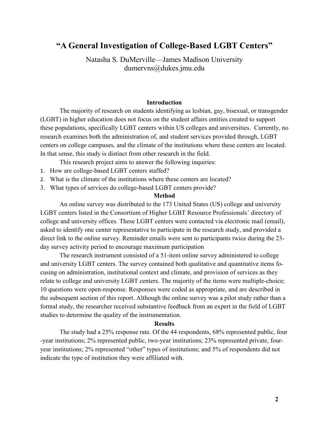## **"A General Investigation of College-Based LGBT Centers"**

Natasha S. DuMerville—James Madison University dumervns@dukes.jmu.edu

#### **Introduction**

The majority of research on students identifying as lesbian, gay, bisexual, or transgender (LGBT) in higher education does not focus on the student affairs entities created to support these populations, specifically LGBT centers within US colleges and universities. Currently, no research examines both the administration of, and student services provided through, LGBT centers on college campuses, and the climate of the institutions where these centers are located. In that sense, this study is distinct from other research in the field.

This research project aims to answer the following inquiries:

- 1. How are college-based LGBT centers staffed?
- 2. What is the climate of the institutions where these centers are located?
- 3. What types of services do college-based LGBT centers provide?

#### **Method**

An online survey was distributed to the 173 United States (US) college and university LGBT centers listed in the Consortium of Higher LGBT Resource Professionals' directory of college and university offices. These LGBT centers were contacted via electronic mail (email), asked to identify one center representative to participate in the research study, and provided a direct link to the online survey. Reminder emails were sent to participants twice during the 23 day survey activity period to encourage maximum participation

The research instrument consisted of a 51-item online survey administered to college and university LGBT centers. The survey contained both qualitative and quantitative items focusing on administration, institutional context and climate, and provision of services as they relate to college and university LGBT centers. The majority of the items were multiple-choice; 10 questions were open-response. Responses were coded as appropriate, and are described in the subsequent section of this report. Although the online survey was a pilot study rather than a formal study, the researcher received substantive feedback from an expert in the field of LGBT studies to determine the quality of the instrumentation.

#### **Results**

The study had a 25% response rate. Of the 44 respondents, 68% represented public, four -year institutions; 2% represented public, two-year institutions; 23% represented private, fouryear institutions; 2% represented "other" types of institutions; and 5% of respondents did not indicate the type of institution they were affiliated with.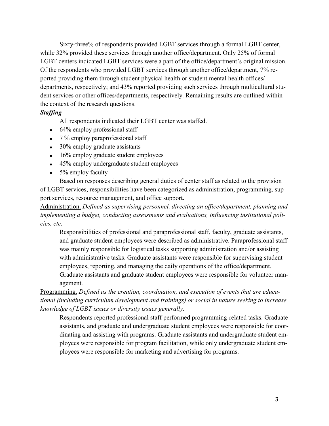Sixty-three% of respondents provided LGBT services through a formal LGBT center, while 32% provided these services through another office/department. Only 25% of formal LGBT centers indicated LGBT services were a part of the office/department's original mission. Of the respondents who provided LGBT services through another office/department, 7% reported providing them through student physical health or student mental health offices/ departments, respectively; and 43% reported providing such services through multicultural student services or other offices/departments, respectively. Remaining results are outlined within the context of the research questions.

#### *Staffing*

All respondents indicated their LGBT center was staffed.

- $\cdot$  64% employ professional staff
- 7 % employ paraprofessional staff
- 30% employ graduate assistants
- 16% employ graduate student employees
- 45% employ undergraduate student employees
- $\bullet$  5% employ faculty

Based on responses describing general duties of center staff as related to the provision of LGBT services, responsibilities have been categorized as administration, programming, support services, resource management, and office support.

Administration. *Defined as supervising personnel, directing an office/department, planning and implementing a budget, conducting assessments and evaluations, influencing institutional policies, etc.*

Responsibilities of professional and paraprofessional staff, faculty, graduate assistants, and graduate student employees were described as administrative. Paraprofessional staff was mainly responsible for logistical tasks supporting administration and/or assisting with administrative tasks. Graduate assistants were responsible for supervising student employees, reporting, and managing the daily operations of the office/department. Graduate assistants and graduate student employees were responsible for volunteer man-

agement.

Programming. *Defined as the creation, coordination, and execution of events that are educational (including curriculum development and trainings) or social in nature seeking to increase knowledge of LGBT issues or diversity issues generally.*

Respondents reported professional staff performed programming-related tasks. Graduate assistants, and graduate and undergraduate student employees were responsible for coordinating and assisting with programs. Graduate assistants and undergraduate student employees were responsible for program facilitation, while only undergraduate student employees were responsible for marketing and advertising for programs.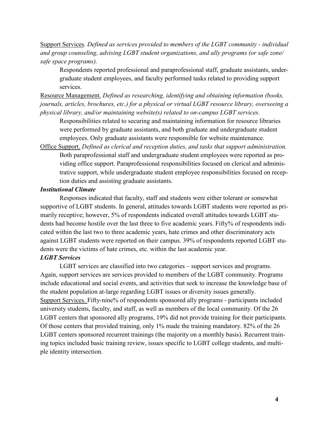Support Services. *Defined as services provided to members of the LGBT community - individual and group counseling, advising LGBT student organizations, and ally programs (or safe zone/ safe space programs).*

Respondents reported professional and paraprofessional staff, graduate assistants, undergraduate student employees, and faculty performed tasks related to providing support services.

Resource Management. *Defined as researching, identifying and obtaining information (books, journals, articles, brochures, etc.) for a physical or virtual LGBT resource library, overseeing a physical library, and/or maintaining website(s) related to on-campus LGBT services.* 

Responsibilities related to securing and maintaining information for resource libraries were performed by graduate assistants, and both graduate and undergraduate student employees. Only graduate assistants were responsible for website maintenance.

Office Support. *Defined as clerical and reception duties, and tasks that support administration.* Both paraprofessional staff and undergraduate student employees were reported as providing office support. Paraprofessional responsibilities focused on clerical and administrative support, while undergraduate student employee responsibilities focused on reception duties and assisting graduate assistants.

### *Institutional Climate*

Responses indicated that faculty, staff and students were either tolerant or somewhat supportive of LGBT students. In general, attitudes towards LGBT students were reported as primarily receptive; however, 5% of respondents indicated overall attitudes towards LGBT students had become hostile over the last three to five academic years. Fifty% of respondents indicated within the last two to three academic years, hate crimes and other discriminatory acts against LGBT students were reported on their campus. 39% of respondents reported LGBT students were the victims of hate crimes, etc. within the last academic year.

### *LGBT Services*

LGBT services are classified into two categories – support services and programs. Again, support services are services provided to members of the LGBT community. Programs include educational and social events, and activities that seek to increase the knowledge base of the student population at-large regarding LGBT issues or diversity issues generally. Support Services. Fifty-nine% of respondents sponsored ally programs - participants included university students, faculty, and staff, as well as members of the local community. Of the 26 LGBT centers that sponsored ally programs, 19% did not provide training for their participants. Of those centers that provided training, only 1% made the training mandatory. 82% of the 26 LGBT centers sponsored recurrent trainings (the majority on a monthly basis). Recurrent training topics included basic training review, issues specific to LGBT college students, and multiple identity intersection.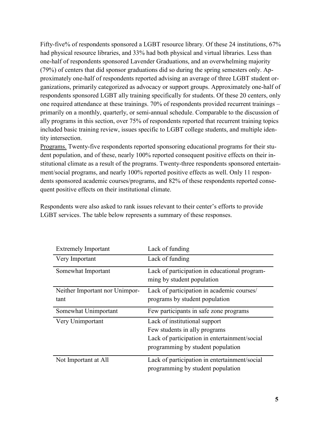Fifty-five% of respondents sponsored a LGBT resource library. Of these 24 institutions, 67% had physical resource libraries, and 33% had both physical and virtual libraries. Less than one-half of respondents sponsored Lavender Graduations, and an overwhelming majority (79%) of centers that did sponsor graduations did so during the spring semesters only. Approximately one-half of respondents reported advising an average of three LGBT student organizations, primarily categorized as advocacy or support groups. Approximately one-half of respondents sponsored LGBT ally training specifically for students. Of these 20 centers, only one required attendance at these trainings. 70% of respondents provided recurrent trainings – primarily on a monthly, quarterly, or semi-annual schedule. Comparable to the discussion of ally programs in this section, over 75% of respondents reported that recurrent training topics included basic training review, issues specific to LGBT college students, and multiple identity intersection.

Programs. Twenty-five respondents reported sponsoring educational programs for their student population, and of these, nearly 100% reported consequent positive effects on their institutional climate as a result of the programs. Twenty-three respondents sponsored entertainment/social programs, and nearly 100% reported positive effects as well. Only 11 respondents sponsored academic courses/programs, and 82% of these respondents reported consequent positive effects on their institutional climate.

Respondents were also asked to rank issues relevant to their center's efforts to provide LGBT services. The table below represents a summary of these responses.

| <b>Extremely Important</b>     | Lack of funding                                                                    |
|--------------------------------|------------------------------------------------------------------------------------|
| Very Important                 | Lack of funding                                                                    |
| Somewhat Important             | Lack of participation in educational program-<br>ming by student population        |
| Neither Important nor Unimpor- | Lack of participation in academic courses/                                         |
| tant                           | programs by student population                                                     |
|                                |                                                                                    |
| Somewhat Unimportant           | Few participants in safe zone programs                                             |
| Very Unimportant               | Lack of institutional support                                                      |
|                                | Few students in ally programs                                                      |
|                                | Lack of participation in entertainment/social                                      |
|                                | programming by student population                                                  |
| Not Important at All           | Lack of participation in entertainment/social<br>programming by student population |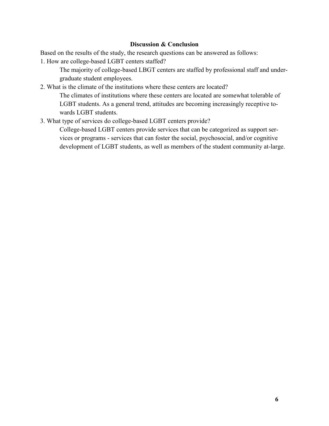### **Discussion & Conclusion**

Based on the results of the study, the research questions can be answered as follows:

1. How are college-based LGBT centers staffed?

The majority of college-based LBGT centers are staffed by professional staff and undergraduate student employees.

2. What is the climate of the institutions where these centers are located?

The climates of institutions where these centers are located are somewhat tolerable of LGBT students. As a general trend, attitudes are becoming increasingly receptive towards LGBT students.

3. What type of services do college-based LGBT centers provide?

College-based LGBT centers provide services that can be categorized as support services or programs - services that can foster the social, psychosocial, and/or cognitive development of LGBT students, as well as members of the student community at-large.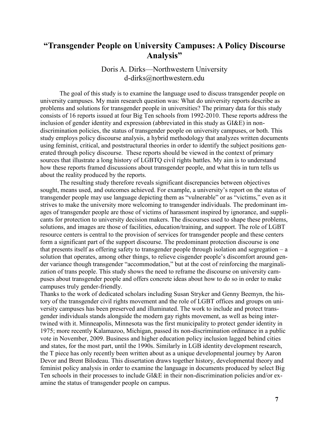## **"Transgender People on University Campuses: A Policy Discourse Analysis"**

## Doris A. Dirks—Northwestern University d-dirks@northwestern.edu

The goal of this study is to examine the language used to discuss transgender people on university campuses. My main research question was: What do university reports describe as problems and solutions for transgender people in universities? The primary data for this study consists of 16 reports issued at four Big Ten schools from 1992-2010. These reports address the inclusion of gender identity and expression (abbreviated in this study as GI&E) in nondiscrimination policies, the status of transgender people on university campuses, or both. This study employs policy discourse analysis, a hybrid methodology that analyzes written documents using feminist, critical, and poststructural theories in order to identify the subject positions generated through policy discourse. These reports should be viewed in the context of primary sources that illustrate a long history of LGBTQ civil rights battles. My aim is to understand how these reports framed discussions about transgender people, and what this in turn tells us about the reality produced by the reports.

The resulting study therefore reveals significant discrepancies between objectives sought, means used, and outcomes achieved. For example, a university's report on the status of transgender people may use language depicting them as "vulnerable" or as "victims," even as it strives to make the university more welcoming to transgender individuals. The predominant images of transgender people are those of victims of harassment inspired by ignorance, and supplicants for protection to university decision makers. The discourses used to shape these problems, solutions, and images are those of facilities, education/training, and support. The role of LGBT resource centers is central to the provision of services for transgender people and these centers form a significant part of the support discourse. The predominant protection discourse is one that presents itself as offering safety to transgender people through isolation and segregation – a solution that operates, among other things, to relieve cisgender people's discomfort around gender variance though transgender "accommodation," but at the cost of reinforcing the marginalization of trans people. This study shows the need to reframe the discourse on university campuses about transgender people and offers concrete ideas about how to do so in order to make campuses truly gender-friendly.

Thanks to the work of dedicated scholars including Susan Stryker and Genny Beemyn, the history of the transgender civil rights movement and the role of LGBT offices and groups on university campuses has been preserved and illuminated. The work to include and protect transgender individuals stands alongside the modern gay rights movement, as well as being intertwined with it. Minneapolis, Minnesota was the first municipality to protect gender identity in 1975; more recently Kalamazoo, Michigan, passed its non-discrimination ordinance in a public vote in November, 2009. Business and higher education policy inclusion lagged behind cities and states, for the most part, until the 1990s. Similarly in LGB identity development research, the T piece has only recently been written about as a unique developmental journey by Aaron Devor and Brent Bilodeau. This dissertation draws together history, developmental theory and feminist policy analysis in order to examine the language in documents produced by select Big Ten schools in their processes to include GI&E in their non-discrimination policies and/or examine the status of transgender people on campus.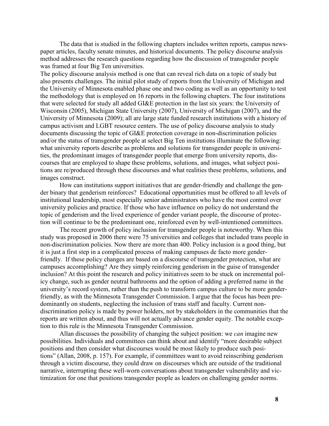The data that is studied in the following chapters includes written reports, campus newspaper articles, faculty senate minutes, and historical documents. The policy discourse analysis method addresses the research questions regarding how the discussion of transgender people was framed at four Big Ten universities.

The policy discourse analysis method is one that can reveal rich data on a topic of study but also presents challenges. The initial pilot study of reports from the University of Michigan and the University of Minnesota enabled phase one and two coding as well as an opportunity to test the methodology that is employed on 16 reports in the following chapters. The four institutions that were selected for study all added GI&E protection in the last six years: the University of Wisconsin (2005), Michigan State University (2007), University of Michigan (2007), and the University of Minnesota (2009); all are large state funded research institutions with a history of campus activism and LGBT resource centers. The use of policy discourse analysis to study documents discussing the topic of GI&E protection coverage in non-discrimination policies and/or the status of transgender people at select Big Ten institutions illuminate the following: what university reports describe as problems and solutions for transgender people in universities, the predominant images of transgender people that emerge from university reports, discourses that are employed to shape these problems, solutions, and images, what subject positions are re/produced through these discourses and what realities these problems, solutions, and images construct.

How can institutions support initiatives that are gender-friendly and challenge the gender binary that genderism reinforces? Educational opportunities must be offered to all levels of institutional leadership, most especially senior administrators who have the most control over university policies and practice. If those who have influence on policy do not understand the topic of genderism and the lived experience of gender variant people, the discourse of protection will continue to be the predominant one, reinforced even by well-intentioned committees.

The recent growth of policy inclusion for transgender people is noteworthy. When this study was proposed in 2006 there were 75 universities and colleges that included trans people in non-discrimination policies. Now there are more than 400. Policy inclusion is a good thing, but it is just a first step in a complicated process of making campuses de facto more genderfriendly. If these policy changes are based on a discourse of transgender protection, what are campuses accomplishing? Are they simply reinforcing genderism in the guise of transgender inclusion? At this point the research and policy initiatives seem to be stuck on incremental policy change, such as gender neutral bathrooms and the option of adding a preferred name in the university's record system, rather than the push to transform campus culture to be more genderfriendly, as with the Minnesota Transgender Commission. I argue that the focus has been predominantly on students, neglecting the inclusion of trans staff and faculty. Current nondiscrimination policy is made by power holders, not by stakeholders in the communities that the reports are written about, and thus will not actually advance gender equity. The notable exception to this rule is the Minnesota Transgender Commission.

Allan discusses the possibility of changing the subject position: we *can* imagine new possibilities. Individuals and committees can think about and identify "more desirable subject positions and then consider what discourses would be most likely to produce such positions‖ (Allan, 2008, p. 157). For example, if committees want to avoid reinscribing genderism through a victim discourse, they could draw on discourses which are outside of the traditional narrative, interrupting these well-worn conversations about transgender vulnerability and victimization for one that positions transgender people as leaders on challenging gender norms.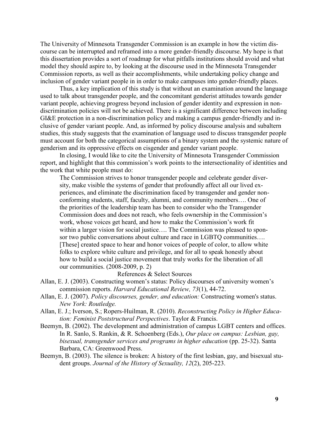The University of Minnesota Transgender Commission is an example in how the victim discourse can be interrupted and reframed into a more gender-friendly discourse. My hope is that this dissertation provides a sort of roadmap for what pitfalls institutions should avoid and what model they should aspire to, by looking at the discourse used in the Minnesota Transgender Commission reports, as well as their accomplishments, while undertaking policy change and inclusion of gender variant people in in order to make campuses into gender-friendly places.

Thus, a key implication of this study is that without an examination around the language used to talk about transgender people, and the concomitant genderist attitudes towards gender variant people, achieving progress beyond inclusion of gender identity and expression in nondiscrimination policies will not be achieved. There is a significant difference between including GI&E protection in a non-discrimination policy and making a campus gender-friendly and inclusive of gender variant people. And, as informed by policy discourse analysis and subaltern studies, this study suggests that the examination of language used to discuss transgender people must account for both the categorical assumptions of a binary system and the systemic nature of genderism and its oppressive effects on cisgender and gender variant people.

In closing, I would like to cite the University of Minnesota Transgender Commission report, and highlight that this commission's work points to the intersectionality of identities and the work that white people must do:

The Commission strives to honor transgender people and celebrate gender diversity, make visible the systems of gender that profoundly affect all our lived experiences, and eliminate the discrimination faced by transgender and gender nonconforming students, staff, faculty, alumni, and community members…. One of the priorities of the leadership team has been to consider who the Transgender Commission does and does not reach, who feels ownership in the Commission's work, whose voices get heard, and how to make the Commission's work fit within a larger vision for social justice.... The Commission was pleased to sponsor two public conversations about culture and race in LGBTO communities.... [These] created space to hear and honor voices of people of color, to allow white folks to explore white culture and privilege, and for all to speak honestly about how to build a social justice movement that truly works for the liberation of all our communities. (2008-2009, p. 2)

#### References & Select Sources

- Allan, E. J. (2003). Constructing women's status: Policy discourses of university women's commission reports. *Harvard Educational Review, 73*(1), 44-72.
- Allan, E. J. (2007). *Policy discourses, gender, and education:* Constructing women's status. *New York: Routledge.*
- Allan, E. J.; Iverson, S.; Ropers-Huilman, R. (2010). *Reconstructing Policy in Higher Education: Feminist Poststructural Perspectives*. Taylor & Francis.
- Beemyn, B. (2002). The development and administration of campus LGBT centers and offices. In R. Sanlo, S. Rankin, & R. Schoenberg (Eds.), *Our place on campus: Lesbian, gay, bisexual, transgender services and programs in higher education* (pp. 25-32). Santa Barbara, CA: Greenwood Press.
- Beemyn, B. (2003). The silence is broken: A history of the first lesbian, gay, and bisexual student groups. *Journal of the History of Sexuality, 12*(2), 205-223.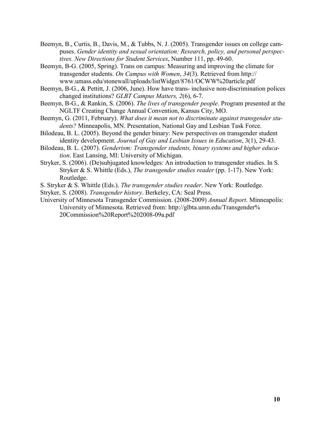- Beemyn, B., Curtis, B., Davis, M., & Tubbs, N. J. (2005). Transgender issues on college campuses. *Gender identity and sexual orientation: Research, policy, and personal perspectives. New Directions for Student Services*, Number 111, pp. 49-60.
- Beemyn, B-G. (2005, Spring). Trans on campus: Measuring and improving the climate for transgender students. *On Campus with Women*, *34*(3). Retrieved from http:// www.umass.edu/stonewall/uploads/listWidget/8761/OCWW%20article.pdf
- Beemyn, B-G., & Pettitt, J. (2006, June). How have trans- inclusive non-discrimination polices changed institutions? *GLBT Campus Matters, 2*(6), 6-7.
- Beemyn, B-G., & Rankin, S. (2006). *The lives of transgender people*. Program presented at the NGLTF Creating Change Annual Convention, Kansas City, MO.
- Beemyn, G. (2011, February). *What does it mean not to discriminate against transgender students?* Minneapolis, MN. Presentation, National Gay and Lesbian Task Force.
- Bilodeau, B. L. (2005). Beyond the gender binary: New perspectives on transgender student identity development. *Journal of Gay and Lesbian Issues in Education*, 3(1), 29-43.
- Bilodeau, B. L. (2007). *Genderism: Transgender students, binary systems and higher education*. East Lansing, MI: University of Michigan.
- Stryker, S. (2006). (De)subjugated knowledges: An introduction to transgender studies. In S. Stryker & S. Whittle (Eds.), *The transgender studies reader* (pp. 1-17). New York: Routledge.
- S. Stryker & S. Whittle (Eds.). *The transgender studies reader*. New York: Routledge.

Stryker, S. (2008). *Transgender history*. Berkeley, CA: Seal Press.

University of Minnesota Transgender Commission. (2008-2009) *Annual Report*. Minneapolis: University of Minnesota. Retrieved from: http://glbta.umn.edu/Transgender% 20Commission%20Report%202008-09a.pdf